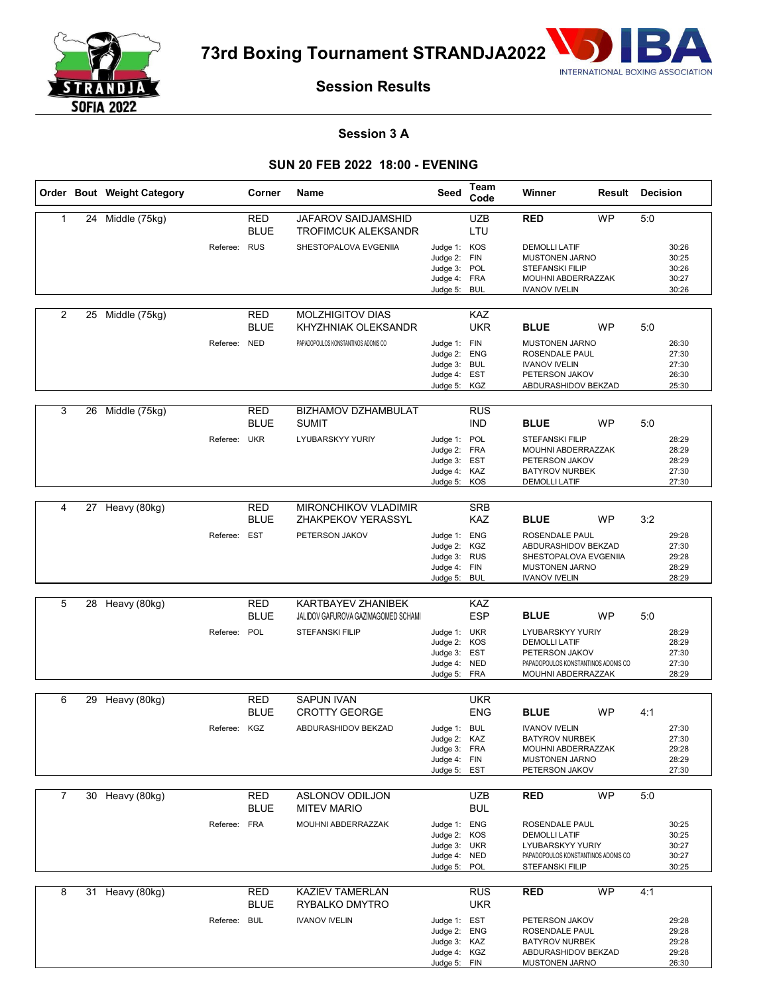

**73rd Boxing Tournament STRANDJA2022**



# **Session Results**

## **Session 3 A**

## **SUN 20 FEB 2022 18:00 - EVENING**

|   |    | Order Bout Weight Category |              | Corner                    | Name                                                      | Seed                                                                         | Team<br>Code             | Winner                                                                                                                      | Result    | Decision |                                           |
|---|----|----------------------------|--------------|---------------------------|-----------------------------------------------------------|------------------------------------------------------------------------------|--------------------------|-----------------------------------------------------------------------------------------------------------------------------|-----------|----------|-------------------------------------------|
| 1 |    | 24 Middle (75kg)           |              | RED<br><b>BLUE</b>        | JAFAROV SAIDJAMSHID<br>TROFIMCUK ALEKSANDR                |                                                                              | <b>UZB</b><br>LTU        | <b>RED</b>                                                                                                                  | <b>WP</b> | 5:0      |                                           |
|   |    |                            | Referee: RUS |                           | SHESTOPALOVA EVGENIIA                                     | Judge 1: KOS<br>Judge 2: FIN<br>Judge 3: POL<br>Judge 4: FRA<br>Judge 5:     | <b>BUL</b>               | <b>DEMOLLI LATIF</b><br><b>MUSTONEN JARNO</b><br><b>STEFANSKI FILIP</b><br>MOUHNI ABDERRAZZAK<br><b>IVANOV IVELIN</b>       |           |          | 30:26<br>30:25<br>30:26<br>30:27<br>30:26 |
| 2 | 25 | Middle (75kg)              |              | RED<br><b>BLUE</b>        | MOLZHIGITOV DIAS<br>KHYZHNIAK OLEKSANDR                   |                                                                              | KAZ<br><b>UKR</b>        | <b>BLUE</b>                                                                                                                 | <b>WP</b> | 5:0      |                                           |
|   |    |                            | Referee: NED |                           | PAPADOPOULOS KONSTANTINOS ADONIS CO                       | Judge 1: FIN<br>Judge 2:<br>Judge 3: BUL<br>Judge 4: EST<br>Judge 5: KGZ     | <b>ENG</b>               | <b>MUSTONEN JARNO</b><br>ROSENDALE PAUL<br><b>IVANOV IVELIN</b><br>PETERSON JAKOV<br>ABDURASHIDOV BEKZAD                    |           |          | 26:30<br>27:30<br>27:30<br>26:30<br>25:30 |
| 3 | 26 | Middle (75kg)              |              | RED<br>BLUE               | <b>BIZHAMOV DZHAMBULAT</b><br><b>SUMIT</b>                |                                                                              | <b>RUS</b><br><b>IND</b> | <b>BLUE</b>                                                                                                                 | <b>WP</b> | 5:0      |                                           |
|   |    |                            | Referee:     | <b>UKR</b>                | LYUBARSKYY YURIY                                          | Judge 1: POL<br>Judge 2: FRA<br>Judge 3: EST<br>Judge 4: KAZ<br>Judge 5: KOS |                          | <b>STEFANSKI FILIP</b><br>MOUHNI ABDERRAZZAK<br>PETERSON JAKOV<br><b>BATYROV NURBEK</b><br><b>DEMOLLI LATIF</b>             |           |          | 28:29<br>28:29<br>28:29<br>27:30<br>27:30 |
|   |    |                            |              |                           |                                                           |                                                                              |                          |                                                                                                                             |           |          |                                           |
| 4 |    | 27 Heavy (80kg)            |              | <b>RED</b><br><b>BLUE</b> | <b>MIRONCHIKOV VLADIMIR</b><br>ZHAKPEKOV YERASSYL         |                                                                              | <b>SRB</b><br>KAZ        | <b>BLUE</b>                                                                                                                 | <b>WP</b> | 3:2      |                                           |
|   |    |                            | Referee: EST |                           | PETERSON JAKOV                                            | Judge 1: ENG<br>Judge 2: KGZ<br>Judge 3: RUS<br>Judge 4: FIN<br>Judge 5: BUL |                          | ROSENDALE PAUL<br>ABDURASHIDOV BEKZAD<br>SHESTOPALOVA EVGENIIA<br><b>MUSTONEN JARNO</b><br><b>IVANOV IVELIN</b>             |           |          | 29:28<br>27:30<br>29:28<br>28:29<br>28:29 |
|   |    |                            |              |                           |                                                           |                                                                              |                          |                                                                                                                             |           |          |                                           |
| 5 |    | 28 Heavy (80kg)            |              | RED<br><b>BLUE</b>        | KARTBAYEV ZHANIBEK<br>JALIDOV GAFUROVA GAZIMAGOMED SCHAMI |                                                                              | KAZ<br><b>ESP</b>        | <b>BLUE</b>                                                                                                                 | <b>WP</b> | 5:0      |                                           |
|   |    |                            | Referee:     | POL                       | <b>STEFANSKI FILIP</b>                                    | Judge 1: UKR<br>Judge 2: KOS<br>Judge 3: EST<br>Judge 4: NED<br>Judge 5: FRA |                          | LYUBARSKYY YURIY<br><b>DEMOLLI LATIF</b><br>PETERSON JAKOV<br>PAPADOPOULOS KONSTANTINOS ADONIS CO<br>MOUHNI ABDERRAZZAK     |           |          | 28:29<br>28:29<br>27:30<br>27:30<br>28:29 |
| 6 |    | 29 Heavy (80kg)            |              | <b>RED</b>                | <b>SAPUN IVAN</b>                                         |                                                                              | <b>UKR</b>               |                                                                                                                             |           |          |                                           |
|   |    |                            |              | <b>BLUE</b>               | <b>CROTTY GEORGE</b>                                      |                                                                              | <b>ENG</b>               | <b>BLUE</b>                                                                                                                 | <b>WP</b> | 4:1      |                                           |
|   |    |                            | Referee: KGZ |                           | ABDURASHIDOV BEKZAD                                       | Judge 1: BUL<br>Judge 2: KAZ<br>Judge 3: FRA<br>Judge 4: FIN<br>Judge 5: EST |                          | <b>IVANOV IVELIN</b><br><b>BATYROV NURBEK</b><br>MOUHNI ABDERRAZZAK<br><b>MUSTONEN JARNO</b><br>PETERSON JAKOV              |           |          | 27:30<br>27:30<br>29:28<br>28:29<br>27:30 |
| 7 |    | 30 Heavy (80kg)            |              | <b>RED</b>                | <b>ASLONOV ODILJON</b>                                    |                                                                              | <b>UZB</b>               | <b>RED</b>                                                                                                                  | <b>WP</b> | 5:0      |                                           |
|   |    |                            |              | BLUE                      | <b>MITEV MARIO</b>                                        |                                                                              | <b>BUL</b>               |                                                                                                                             |           |          |                                           |
|   |    |                            | Referee: FRA |                           | MOUHNI ABDERRAZZAK                                        | Judge 1: ENG<br>Judge 2: KOS<br>Judge 3: UKR<br>Judge 4: NED<br>Judge 5: POL |                          | ROSENDALE PAUL<br><b>DEMOLLI LATIF</b><br>LYUBARSKYY YURIY<br>PAPADOPOULOS KONSTANTINOS ADONIS CO<br><b>STEFANSKI FILIP</b> |           |          | 30:25<br>30:25<br>30:27<br>30:27<br>30:25 |
| 8 |    | 31 Heavy (80kg)            |              | <b>RED</b><br><b>BLUE</b> | <b>KAZIEV TAMERLAN</b><br>RYBALKO DMYTRO                  |                                                                              | <b>RUS</b><br><b>UKR</b> | <b>RED</b>                                                                                                                  | <b>WP</b> | 4:1      |                                           |
|   |    |                            | Referee: BUL |                           | <b>IVANOV IVELIN</b>                                      | Judge 1: EST<br>Judge 2: ENG<br>Judge 3: KAZ<br>Judge 4: KGZ<br>Judge 5: FIN |                          | PETERSON JAKOV<br>ROSENDALE PAUL<br><b>BATYROV NURBEK</b><br>ABDURASHIDOV BEKZAD<br>MUSTONEN JARNO                          |           |          | 29:28<br>29:28<br>29:28<br>29:28<br>26:30 |